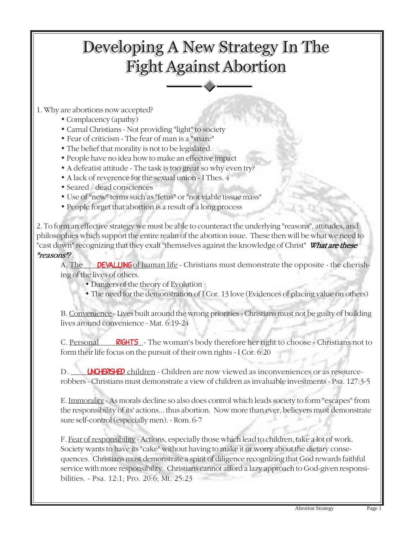## Developing A New Strategy In The Developing A New Strategy In The Fight Against Abortion Fight Against Abortion

1. Why are abortions now accepted?

- Complacency (apathy)
- Carnal Christians Not providing "light" to society
- Fear of criticism The fear of man is a "snare"
- The belief that morality is not to be legislated
- People have no idea how to make an effective impact
- A defeatist attitude The task is too great so why even try?
- A lack of reverence for the sexual union I Thes. 4
- Seared / dead consciences
- Use of "new" terms such as "fetus" or "not viable tissue mass"
- People forget that abortion is a result of a long process

2. To form an effective strategy we must be able to counteract the underlying "reasons", attitudes, and philosophies which support the entire realm of the abortion issue. These then will be what we need to "cast down" recognizing that they exalt "themselves against the knowledge of Christ" What are these "reasons"?

A. The **DEVALUING** of human life - Christians must demonstrate the opposite - the cherishing of the lives of others.

- Dangers of the theory of Evolution
- The need for the demonstration of I Cor. 13 love (Evidences of placing value on others)

B. Convenience - Lives built around the wrong priorities - Christians must not be guilty of building lives around convenience - Mat. 6:19-24

C. Personal RIGHTS - The woman's body therefore her right to choose - Christians not to form their life focus on the pursuit of their own rights - I Cor. 6:20

D. Children - Children are now viewed as inconveniences or as resourcerobbers - Christians must demonstrate a view of children as invaluable investments - Psa. 127:3-5

E. Immorality - As morals decline so also does control which leads society to form "escapes" from the responsibility of its' actions... thus abortion. Now more than ever, believers must demonstrate sure self-control (especially men). - Rom. 6-7

F. Fear of responsibility - Actions, especially those which lead to children, take a lot of work. Society wants to have its "cake" without having to make it or worry about the dietary consequences. Christians must demonstrate a spirit of diligence recognizing that God rewards faithful service with more responsibility. Christians cannot afford a lazy approach to God-given responsibilities. - Psa. 12:1; Pro. 20:6; Mt. 25:23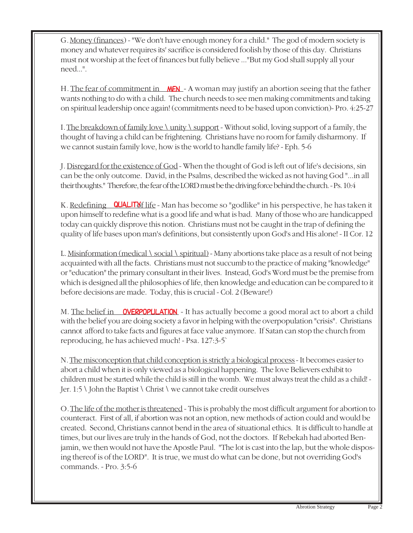G. Money (finances) - "We don't have enough money for a child." The god of modern society is money and whatever requires its' sacrifice is considered foolish by those of this day. Christians must not worship at the feet of finances but fully believe ..."But my God shall supply all your need...".

H. The fear of commitment in MEN - A woman may justify an abortion seeing that the father wants nothing to do with a child. The church needs to see men making commitments and taking on spiritual leadership once again! (commitments need to be based upon conviction)- Pro. 4:25-27

I. The breakdown of family love \ unity \ support - Without solid, loving support of a family, the thought of having a child can be frightening. Christians have no room for family disharmony. If we cannot sustain family love, how is the world to handle family life? - Eph. 5-6

J. Disregard for the existence of God - When the thought of God is left out of life's decisions, sin can be the only outcome. David, in the Psalms, described the wicked as not having God "...in all their thoughts." Therefore, the fear of the LORD must be the driving force behind the church. - Ps. 10:4

K. <u>Redefining **QUALIT**Xf life</u> - Man has become so "godlike" in his perspective, he has taken it upon himself to redefine what is a good life and what is bad. Many of those who are handicapped today can quickly disprove this notion. Christians must not be caught in the trap of defining the quality of life bases upon man's definitions, but consistently upon God's and His alone! - II Cor. 12

L. Misinformation (medical \ social \ spiritual) - Many abortions take place as a result of not being acquainted with all the facts. Christians must not succumb to the practice of making "knowledge" or "education" the primary consultant in their lives. Instead, God's Word must be the premise from which is designed all the philosophies of life, then knowledge and education can be compared to it before decisions are made. Today, this is crucial - Col. 2 (Beware!)

M. The belief in **OVERPOPULATION** - It has actually become a good moral act to abort a child with the belief you are doing society a favor in helping with the overpopulation "crisis". Christians cannot afford to take facts and figures at face value anymore. If Satan can stop the church from reproducing, he has achieved much! - Psa. 127:3-5`

N. The misconception that child conception is strictly a biological process - It becomes easier to abort a child when it is only viewed as a biological happening. The love Believers exhibit to children must be started while the child is still in the womb. We must always treat the child as a child! - Jer. 1:5  $\setminus$  John the Baptist  $\setminus$  Christ  $\setminus$  we cannot take credit ourselves

O. The life of the mother is threatened - This is probably the most difficult argument for abortion to counteract. First of all, if abortion was not an option, new methods of action could and would be created. Second, Christians cannot bend in the area of situational ethics. It is difficult to handle at times, but our lives are truly in the hands of God, not the doctors. If Rebekah had aborted Benjamin, we then would not have the Apostle Paul. "The lot is cast into the lap, but the whole disposing thereof is of the LORD". It is true, we must do what can be done, but not overriding God's commands. - Pro. 3:5-6